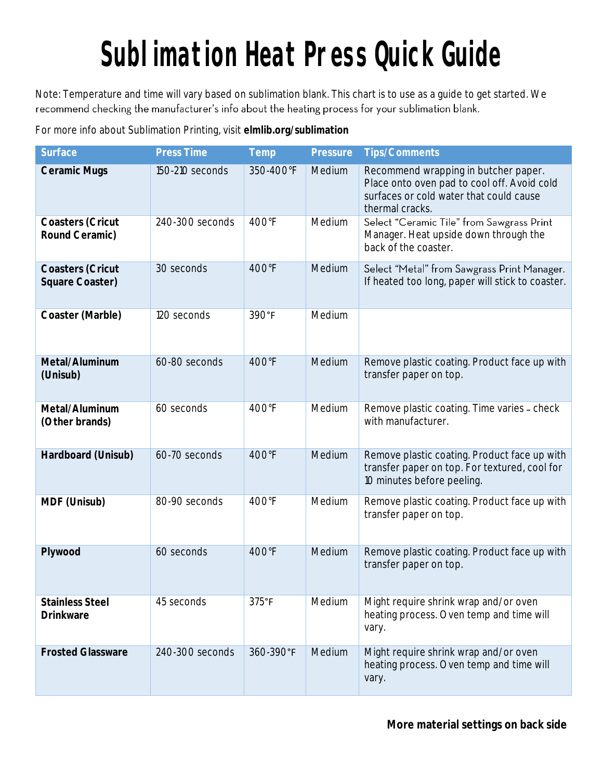## **Sublimation Heat Press Quick Guide**

Note: Temperature and time will vary based on sublimation blank. This chart is to use as a guide to get started. We recommend checking the manufacturer's info about the heating process for your sublimation blank.

For more info about Sublimation Printing, visit **elmlib.org/sublimation**

| Surface                             | Press Time      | Temp           | Pressure | <b>Tips/Comments</b>                                                                                                                              |
|-------------------------------------|-----------------|----------------|----------|---------------------------------------------------------------------------------------------------------------------------------------------------|
| Ceramic Mugs                        | 150-210 seconds | 350-400°F      | Medium   | Recommend wrapping in butcher paper.<br>Place onto oven pad to cool off. Avoid cold<br>surfaces or cold water that could cause<br>thermal cracks. |
| Coasters (Cricut<br>Round Ceramic)  | 240-300 seconds | 400°F          | Medium   | Select "Ceramic Tile" from Sawgrass Print<br>Manager. Heat upside down through the<br>back of the coaster.                                        |
| Coasters (Cricut<br>Square Coaster) | 30 seconds      | 400°F          | Medium   | Select "Metal" from Sawgrass Print Manager.<br>If heated too long, paper will stick to coaster.                                                   |
| Coaster (Marble)                    | 120 seconds     | 390°F          | Medium   |                                                                                                                                                   |
| Metal/Aluminum<br>(Unisub)          | 60-80 seconds   | 400°F          | Medium   | Remove plastic coating. Product face up with<br>transfer paper on top.                                                                            |
| Metal/Aluminum<br>(Other brands)    | 60 seconds      | 400°F          | Medium   | Remove plastic coating. Time varies - check<br>with manufacturer.                                                                                 |
| Hardboard (Unisub)                  | 60-70 seconds   | 400°F          | Medium   | Remove plastic coating. Product face up with<br>transfer paper on top. For textured, cool for<br>10 minutes before peeling.                       |
| MDF (Unisub)                        | 80-90 seconds   | 400°F          | Medium   | Remove plastic coating. Product face up with<br>transfer paper on top.                                                                            |
| Plywood                             | 60 seconds      | 400°F          | Medium   | Remove plastic coating. Product face up with<br>transfer paper on top.                                                                            |
| <b>Stainless Steel</b><br>Drinkware | 45 seconds      | $375^{\circ}F$ | Medium   | Might require shrink wrap and/or oven<br>heating process. Oven temp and time will<br>vary.                                                        |
| <b>Frosted Glassware</b>            | 240-300 seconds | 360-390°F      | Medium   | Might require shrink wrap and/or oven<br>heating process. Oven temp and time will<br>vary.                                                        |